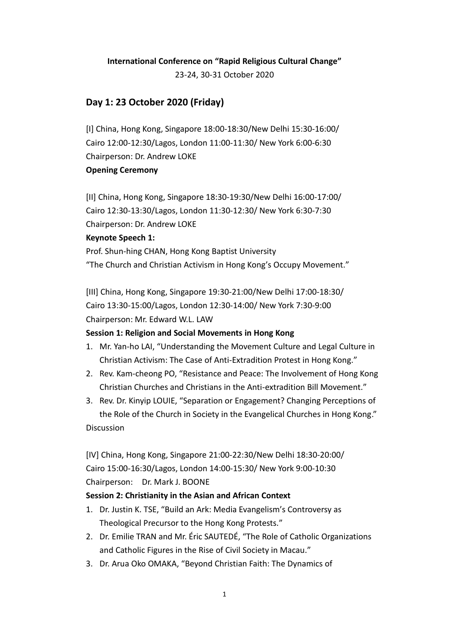# **International Conference on "Rapid Religious Cultural Change"**

23-24, 30-31 October 2020

## **Day 1: 23 October 2020 (Friday)**

[I] China, Hong Kong, Singapore 18:00-18:30/New Delhi 15:30-16:00/ Cairo 12:00-12:30/Lagos, London 11:00-11:30/ New York 6:00-6:30 Chairperson: Dr. Andrew LOKE **Opening Ceremony**

[II] China, Hong Kong, Singapore 18:30-19:30/New Delhi 16:00-17:00/ Cairo 12:30-13:30/Lagos, London 11:30-12:30/ New York 6:30-7:30 Chairperson: Dr. Andrew LOKE **Keynote Speech 1:** 

Prof. Shun-hing CHAN, Hong Kong Baptist University "The Church and Christian Activism in Hong Kong's Occupy Movement."

[III] China, Hong Kong, Singapore 19:30-21:00/New Delhi 17:00-18:30/ Cairo 13:30-15:00/Lagos, London 12:30-14:00/ New York 7:30-9:00 Chairperson: Mr. Edward W.L. LAW

## **Session 1: Religion and Social Movements in Hong Kong**

- 1. Mr. Yan-ho LAI, "Understanding the Movement Culture and Legal Culture in Christian Activism: The Case of Anti-Extradition Protest in Hong Kong."
- 2. Rev. Kam-cheong PO, "Resistance and Peace: The Involvement of Hong Kong Christian Churches and Christians in the Anti-extradition Bill Movement."
- 3. Rev. Dr. Kinyip LOUIE, "Separation or Engagement? Changing Perceptions of the Role of the Church in Society in the Evangelical Churches in Hong Kong." Discussion

[IV] China, Hong Kong, Singapore 21:00-22:30/New Delhi 18:30-20:00/ Cairo 15:00-16:30/Lagos, London 14:00-15:30/ New York 9:00-10:30 Chairperson: Dr. Mark J. BOONE

#### **Session 2: Christianity in the Asian and African Context**

- 1. Dr. Justin K. TSE, "Build an Ark: Media Evangelism's Controversy as Theological Precursor to the Hong Kong Protests."
- 2. Dr. Emilie TRAN and Mr. Éric SAUTEDÉ, "The Role of Catholic Organizations and Catholic Figures in the Rise of Civil Society in Macau."
- 3. Dr. Arua Oko OMAKA, "Beyond Christian Faith: The Dynamics of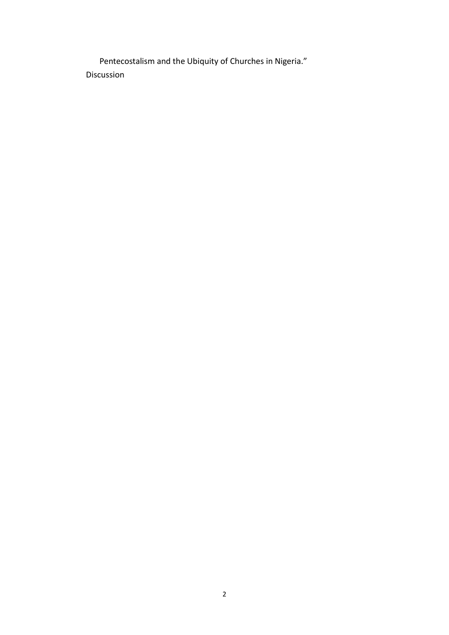Pentecostalism and the Ubiquity of Churches in Nigeria." Discussion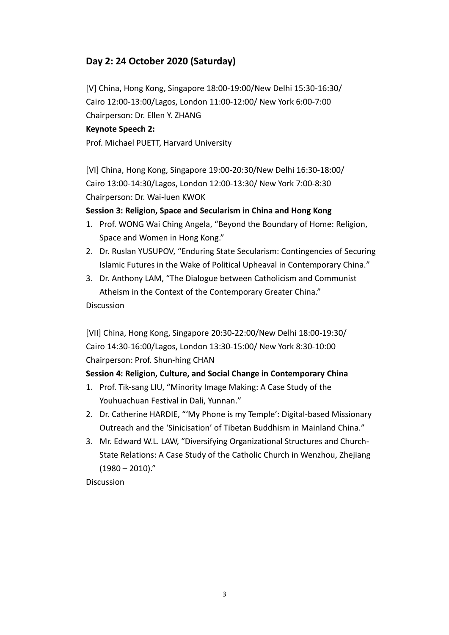# **Day 2: 24 October 2020 (Saturday)**

[V] China, Hong Kong, Singapore 18:00-19:00/New Delhi 15:30-16:30/ Cairo 12:00-13:00/Lagos, London 11:00-12:00/ New York 6:00-7:00 Chairperson: Dr. Ellen Y. ZHANG

### **Keynote Speech 2:**

Prof. Michael PUETT, Harvard University

[VI] China, Hong Kong, Singapore 19:00-20:30/New Delhi 16:30-18:00/ Cairo 13:00-14:30/Lagos, London 12:00-13:30/ New York 7:00-8:30 Chairperson: Dr. Wai-luen KWOK

### **Session 3: Religion, Space and Secularism in China and Hong Kong**

- 1. Prof. WONG Wai Ching Angela, "Beyond the Boundary of Home: Religion, Space and Women in Hong Kong."
- 2. Dr. Ruslan YUSUPOV, "Enduring State Secularism: Contingencies of Securing Islamic Futures in the Wake of Political Upheaval in Contemporary China."
- 3. Dr. Anthony LAM, "The Dialogue between Catholicism and Communist Atheism in the Context of the Contemporary Greater China."

#### Discussion

[VII] China, Hong Kong, Singapore 20:30-22:00/New Delhi 18:00-19:30/ Cairo 14:30-16:00/Lagos, London 13:30-15:00/ New York 8:30-10:00 Chairperson: Prof. Shun-hing CHAN

## **Session 4: Religion, Culture, and Social Change in Contemporary China**

- 1. Prof. Tik-sang LIU, "Minority Image Making: A Case Study of the Youhuachuan Festival in Dali, Yunnan."
- 2. Dr. Catherine HARDIE, "'My Phone is my Temple': Digital-based Missionary Outreach and the 'Sinicisation' of Tibetan Buddhism in Mainland China."
- 3. Mr. Edward W.L. LAW, "Diversifying Organizational Structures and Church-State Relations: A Case Study of the Catholic Church in Wenzhou, Zhejiang  $(1980 - 2010)$ ."

**Discussion**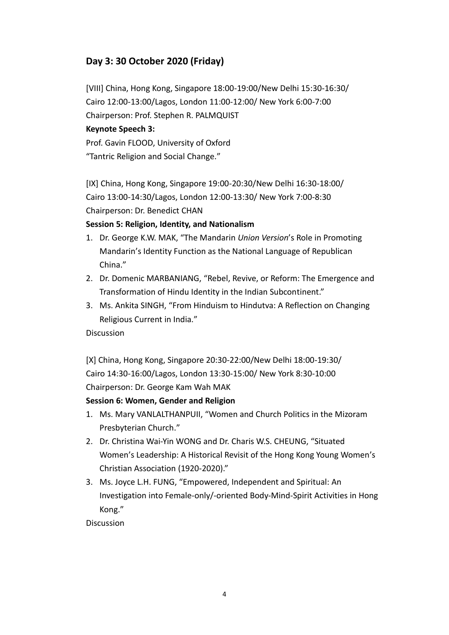# **Day 3: 30 October 2020 (Friday)**

[VIII] China, Hong Kong, Singapore 18:00-19:00/New Delhi 15:30-16:30/ Cairo 12:00-13:00/Lagos, London 11:00-12:00/ New York 6:00-7:00 Chairperson: Prof. Stephen R. PALMQUIST

### **Keynote Speech 3:**

Prof. Gavin FLOOD, University of Oxford "Tantric Religion and Social Change."

[IX] China, Hong Kong, Singapore 19:00-20:30/New Delhi 16:30-18:00/ Cairo 13:00-14:30/Lagos, London 12:00-13:30/ New York 7:00-8:30 Chairperson: Dr. Benedict CHAN

### **Session 5: Religion, Identity, and Nationalism**

- 1. Dr. George K.W. MAK, "The Mandarin *Union Version*'s Role in Promoting Mandarin's Identity Function as the National Language of Republican China."
- 2. Dr. Domenic MARBANIANG, "Rebel, Revive, or Reform: The Emergence and Transformation of Hindu Identity in the Indian Subcontinent."
- 3. Ms. Ankita SINGH, "From Hinduism to Hindutva: A Reflection on Changing Religious Current in India."

#### Discussion

[X] China, Hong Kong, Singapore 20:30-22:00/New Delhi 18:00-19:30/ Cairo 14:30-16:00/Lagos, London 13:30-15:00/ New York 8:30-10:00 Chairperson: Dr. George Kam Wah MAK

## **Session 6: Women, Gender and Religion**

- 1. Ms. Mary VANLALTHANPUII, "Women and Church Politics in the Mizoram Presbyterian Church."
- 2. Dr. Christina Wai-Yin WONG and Dr. Charis W.S. CHEUNG, "Situated Women's Leadership: A Historical Revisit of the Hong Kong Young Women's Christian Association (1920-2020)."
- 3. Ms. Joyce L.H. FUNG, "Empowered, Independent and Spiritual: An Investigation into Female-only/-oriented Body-Mind-Spirit Activities in Hong Kong."

Discussion